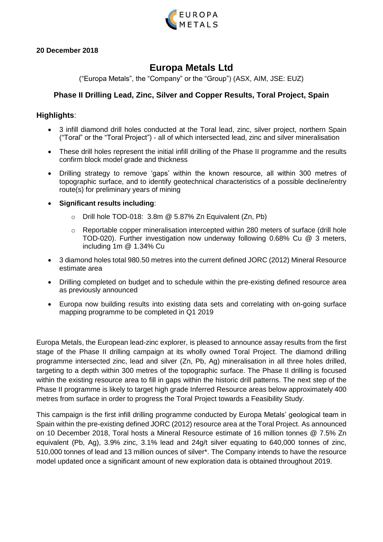

### **20 December 2018**

# **Europa Metals Ltd**

("Europa Metals", the "Company" or the "Group") (ASX, AIM, JSE: EUZ)

# **Phase II Drilling Lead, Zinc, Silver and Copper Results, Toral Project, Spain**

### **Highlights**:

- 3 infill diamond drill holes conducted at the Toral lead, zinc, silver project, northern Spain ("Toral" or the "Toral Project") - all of which intersected lead, zinc and silver mineralisation
- These drill holes represent the initial infill drilling of the Phase II programme and the results confirm block model grade and thickness
- Drilling strategy to remove 'gaps' within the known resource, all within 300 metres of topographic surface, and to identify geotechnical characteristics of a possible decline/entry route(s) for preliminary years of mining

### **Significant results including**:

- $\circ$  Drill hole TOD-018: 3.8m @ 5.87% Zn Equivalent (Zn, Pb)
- $\circ$  Reportable copper mineralisation intercepted within 280 meters of surface (drill hole TOD-020). Further investigation now underway following 0.68% Cu @ 3 meters, including 1m @ 1.34% Cu
- 3 diamond holes total 980.50 metres into the current defined JORC (2012) Mineral Resource estimate area
- Drilling completed on budget and to schedule within the pre-existing defined resource area as previously announced
- Europa now building results into existing data sets and correlating with on-going surface mapping programme to be completed in Q1 2019

Europa Metals, the European lead-zinc explorer, is pleased to announce assay results from the first stage of the Phase II drilling campaign at its wholly owned Toral Project. The diamond drilling programme intersected zinc, lead and silver (Zn, Pb, Ag) mineralisation in all three holes drilled, targeting to a depth within 300 metres of the topographic surface. The Phase II drilling is focused within the existing resource area to fill in gaps within the historic drill patterns. The next step of the Phase II programme is likely to target high grade Inferred Resource areas below approximately 400 metres from surface in order to progress the Toral Project towards a Feasibility Study.

This campaign is the first infill drilling programme conducted by Europa Metals' geological team in Spain within the pre-existing defined JORC (2012) resource area at the Toral Project. As announced on 10 December 2018, Toral hosts a Mineral Resource estimate of 16 million tonnes @ 7.5% Zn equivalent (Pb, Ag), 3.9% zinc, 3.1% lead and 24g/t silver equating to 640,000 tonnes of zinc. 510,000 tonnes of lead and 13 million ounces of silver\*. The Company intends to have the resource model updated once a significant amount of new exploration data is obtained throughout 2019.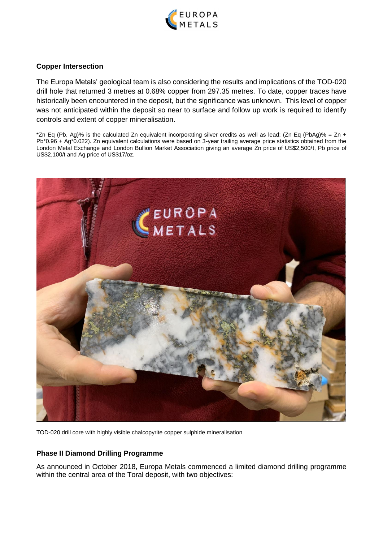

### **Copper Intersection**

The Europa Metals' geological team is also considering the results and implications of the TOD-020 drill hole that returned 3 metres at 0.68% copper from 297.35 metres. To date, copper traces have historically been encountered in the deposit, but the significance was unknown. This level of copper was not anticipated within the deposit so near to surface and follow up work is required to identify controls and extent of copper mineralisation.

\*Zn Eq (Pb, Ag)% is the calculated Zn equivalent incorporating silver credits as well as lead; (Zn Eq (PbAg)% = Zn + Pb\*0.96 + Ag\*0.022). Zn equivalent calculations were based on 3-year trailing average price statistics obtained from the London Metal Exchange and London Bullion Market Association giving an average Zn price of US\$2,500/t, Pb price of US\$2,100/t and Ag price of US\$17/oz.



TOD-020 drill core with highly visible chalcopyrite copper sulphide mineralisation

## **Phase II Diamond Drilling Programme**

As announced in October 2018, Europa Metals commenced a limited diamond drilling programme within the central area of the Toral deposit, with two objectives: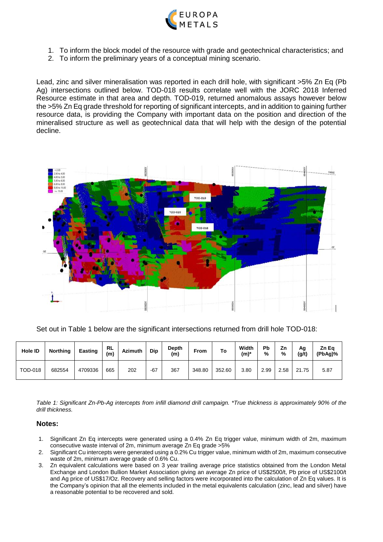

- 1. To inform the block model of the resource with grade and geotechnical characteristics; and
- 2. To inform the preliminary years of a conceptual mining scenario.

Lead, zinc and silver mineralisation was reported in each drill hole, with significant >5% Zn Eq (Pb Ag) intersections outlined below. TOD-018 results correlate well with the JORC 2018 Inferred Resource estimate in that area and depth. TOD-019, returned anomalous assays however below the >5% Zn Eq grade threshold for reporting of significant intercepts, and in addition to gaining further resource data, is providing the Company with important data on the position and direction of the mineralised structure as well as geotechnical data that will help with the design of the potential decline.



Set out in Table 1 below are the significant intersections returned from drill hole TOD-018:

| <b>Hole ID</b> | <b>Northing</b> | Easting | <b>RL</b><br>(m) | <b>Azimuth</b> | Dip   | Depth<br>(m) | From   | To     | Width<br>$(m)^*$ | Pb<br>% | Ζn<br>% | Αg<br>(g/t) | Zn Ea<br>(PbAg)% |
|----------------|-----------------|---------|------------------|----------------|-------|--------------|--------|--------|------------------|---------|---------|-------------|------------------|
| <b>TOD-018</b> | 682554          | 4709336 | 665              | 202            | $-67$ | 367          | 348.80 | 352.60 | 3.80             | 2.99    | 2.58    | 21.75       | 5.87             |

*Table 1: Significant Zn-Pb-Ag intercepts from infill diamond drill campaign. \*True thickness is approximately 90% of the drill thickness.*

#### **Notes:**

- 1. Significant Zn Eq intercepts were generated using a 0.4% Zn Eq trigger value, minimum width of 2m, maximum consecutive waste interval of 2m, minimum average Zn Eq grade >5%
- 2. Significant Cu intercepts were generated using a 0.2% Cu trigger value, minimum width of 2m, maximum consecutive waste of 2m, minimum average grade of 0.6% Cu.
- 3. Zn equivalent calculations were based on 3 year trailing average price statistics obtained from the London Metal Exchange and London Bullion Market Association giving an average Zn price of US\$2500/t, Pb price of US\$2100/t and Ag price of US\$17/Oz. Recovery and selling factors were incorporated into the calculation of Zn Eq values. It is the Company's opinion that all the elements included in the metal equivalents calculation (zinc, lead and silver) have a reasonable potential to be recovered and sold.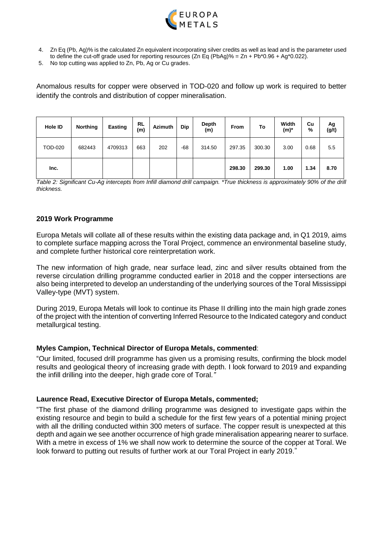

- 4. Zn Eq (Pb, Ag)% is the calculated Zn equivalent incorporating silver credits as well as lead and is the parameter used to define the cut-off grade used for reporting resources (Zn Eq (PbAg)% =  $Zn + Pb*0.96 + Ag*0.022$ ).
- 5. No top cutting was applied to Zn, Pb, Ag or Cu grades.

Anomalous results for copper were observed in TOD-020 and follow up work is required to better identify the controls and distribution of copper mineralisation.

| <b>Hole ID</b> | <b>Northing</b> | <b>Easting</b> | RL<br>(m) | <b>Azimuth</b> | Dip | Depth<br>(m) | <b>From</b> | To     | Width<br>$(m)^*$ | Cu<br>% | Αg<br>(g/t) |
|----------------|-----------------|----------------|-----------|----------------|-----|--------------|-------------|--------|------------------|---------|-------------|
| <b>TOD-020</b> | 682443          | 4709313        | 663       | 202            | -68 | 314.50       | 297.35      | 300.30 | 3.00             | 0.68    | 5.5         |
| Inc.           |                 |                |           |                |     |              | 298.30      | 299.30 | 1.00             | 1.34    | 8.70        |

*Table 2: Significant Cu-Ag intercepts from Infill diamond drill campaign. \*True thickness is approximately 90% of the drill thickness.*

#### **2019 Work Programme**

Europa Metals will collate all of these results within the existing data package and, in Q1 2019, aims to complete surface mapping across the Toral Project, commence an environmental baseline study, and complete further historical core reinterpretation work.

The new information of high grade, near surface lead, zinc and silver results obtained from the reverse circulation drilling programme conducted earlier in 2018 and the copper intersections are also being interpreted to develop an understanding of the underlying sources of the Toral Mississippi Valley-type (MVT) system.

During 2019, Europa Metals will look to continue its Phase II drilling into the main high grade zones of the project with the intention of converting Inferred Resource to the Indicated category and conduct metallurgical testing.

#### **Myles Campion, Technical Director of Europa Metals, commented**:

"Our limited, focused drill programme has given us a promising results, confirming the block model results and geological theory of increasing grade with depth. I look forward to 2019 and expanding the infill drilling into the deeper, high grade core of Toral*."* 

#### **Laurence Read, Executive Director of Europa Metals, commented;**

"The first phase of the diamond drilling programme was designed to investigate gaps within the existing resource and begin to build a schedule for the first few years of a potential mining project with all the drilling conducted within 300 meters of surface. The copper result is unexpected at this depth and again we see another occurrence of high grade mineralisation appearing nearer to surface. With a metre in excess of 1% we shall now work to determine the source of the copper at Toral. We look forward to putting out results of further work at our Toral Project in early 2019."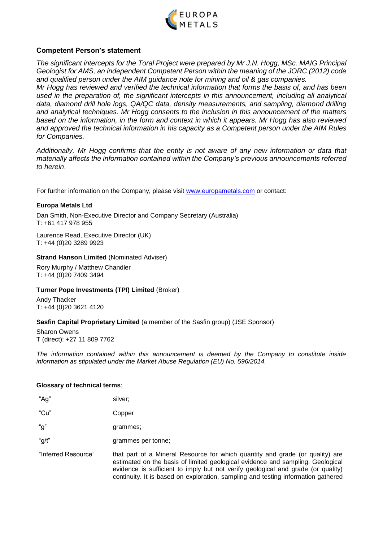

### **Competent Person's statement**

*The significant intercepts for the Toral Project were prepared by Mr J.N. Hogg, MSc. MAIG Principal Geologist for AMS, an independent Competent Person within the meaning of the JORC (2012) code and qualified person under the AIM guidance note for mining and oil & gas companies.* 

*Mr Hogg has reviewed and verified the technical information that forms the basis of, and has been used in the preparation of, the significant intercepts in this announcement, including all analytical data, diamond drill hole logs, QA/QC data, density measurements, and sampling, diamond drilling and analytical techniques. Mr Hogg consents to the inclusion in this announcement of the matters based on the information, in the form and context in which it appears. Mr Hogg has also reviewed and approved the technical information in his capacity as a Competent person under the AIM Rules for Companies.*

*Additionally, Mr Hogg confirms that the entity is not aware of any new information or data that materially affects the information contained within the Company's previous announcements referred to herein*.

For further information on the Company, please visit [www.europametals.com](http://www.europametals.com/) or contact:

### **Europa Metals Ltd**

Dan Smith, Non-Executive Director and Company Secretary (Australia) T: +61 417 978 955

Laurence Read, Executive Director (UK) T: +44 (0)20 3289 9923

#### **Strand Hanson Limited (Nominated Adviser)**

Rory Murphy / Matthew Chandler T: +44 (0)20 7409 3494

#### **Turner Pope Investments (TPI) Limited** (Broker)

Andy Thacker T: +44 (0)20 3621 4120

#### **Sasfin Capital Proprietary Limited** (a member of the Sasfin group) (JSE Sponsor)

Sharon Owens T (direct): +27 11 809 7762

*The information contained within this announcement is deemed by the Company to constitute inside information as stipulated under the Market Abuse Regulation (EU) No. 596/2014.*

#### **Glossary of technical terms**:

| "Ag"                | silver;                                                                               |
|---------------------|---------------------------------------------------------------------------------------|
| "Cu"                | Copper                                                                                |
| "g"                 | grammes;                                                                              |
| "g/t"               | grammes per tonne;                                                                    |
| "Inferred Resource" | that part of a Mineral Re<br>estimated on the basis of<br>evidence is sufficient to i |

source for which quantity and grade (or quality) are limited geological evidence and sampling. Geological fficient to imply but not verify geological and grade (or quality) continuity. It is based on exploration, sampling and testing information gathered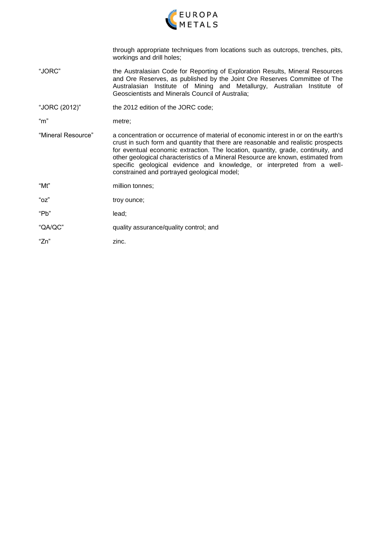

through appropriate techniques from locations such as outcrops, trenches, pits, workings and drill holes;

- "JORC" the Australasian Code for Reporting of Exploration Results, Mineral Resources and Ore Reserves, as published by the Joint Ore Reserves Committee of The Australasian Institute of Mining and Metallurgy, Australian Institute of Geoscientists and Minerals Council of Australia;
- "JORC (2012)" the 2012 edition of the JORC code;

"m" metre;

- "Mineral Resource" a concentration or occurrence of material of economic interest in or on the earth's crust in such form and quantity that there are reasonable and realistic prospects for eventual economic extraction. The location, quantity, grade, continuity, and other geological characteristics of a Mineral Resource are known, estimated from specific geological evidence and knowledge, or interpreted from a wellconstrained and portrayed geological model;
- "Mt" million tonnes;
- "oz" troy ounce;
- "Pb" lead;
- "QA/QC" quality assurance/quality control; and
- "Zn" zinc.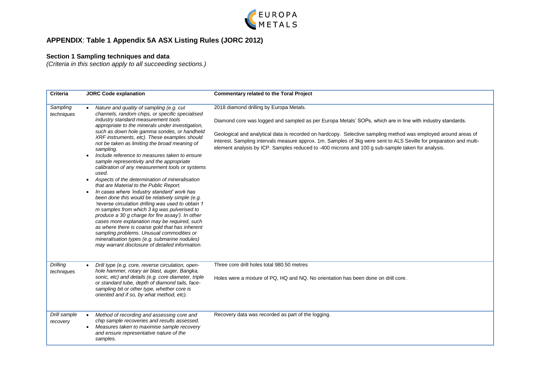

# **APPENDIX**: **Table 1 Appendix 5A ASX Listing Rules (JORC 2012)**

#### **Section 1 Sampling techniques and data**

*(Criteria in this section apply to all succeeding sections.)*

| <b>Criteria</b>               | <b>JORC Code explanation</b>                                                                                                                                                                                                                                                                                                                                                                                                                                                                                                                                                                                                                                                                                                                                                                                                                                                                                                                                                                                                                                                                                              | <b>Commentary related to the Toral Project</b>                                                                                                                                                                                                                                                                                                                                                                                                                                                      |
|-------------------------------|---------------------------------------------------------------------------------------------------------------------------------------------------------------------------------------------------------------------------------------------------------------------------------------------------------------------------------------------------------------------------------------------------------------------------------------------------------------------------------------------------------------------------------------------------------------------------------------------------------------------------------------------------------------------------------------------------------------------------------------------------------------------------------------------------------------------------------------------------------------------------------------------------------------------------------------------------------------------------------------------------------------------------------------------------------------------------------------------------------------------------|-----------------------------------------------------------------------------------------------------------------------------------------------------------------------------------------------------------------------------------------------------------------------------------------------------------------------------------------------------------------------------------------------------------------------------------------------------------------------------------------------------|
| Sampling<br>techniques        | Nature and quality of sampling (e.g. cut<br>channels, random chips, or specific specialised<br>industry standard measurement tools<br>appropriate to the minerals under investigation,<br>such as down hole gamma sondes, or handheld<br>XRF instruments, etc). These examples should<br>not be taken as limiting the broad meaning of<br>sampling.<br>Include reference to measures taken to ensure<br>sample representivity and the appropriate<br>calibration of any measurement tools or systems<br>used.<br>Aspects of the determination of mineralisation<br>that are Material to the Public Report.<br>In cases where 'industry standard' work has<br>been done this would be relatively simple (e.g.<br>'reverse circulation drilling was used to obtain 1<br>m samples from which 3 kg was pulverised to<br>produce a 30 g charge for fire assay'). In other<br>cases more explanation may be required, such<br>as where there is coarse gold that has inherent<br>sampling problems. Unusual commodities or<br>mineralisation types (e.g. submarine nodules)<br>may warrant disclosure of detailed information. | 2018 diamond drilling by Europa Metals.<br>Diamond core was logged and sampled as per Europa Metals' SOPs, which are in line with industry standards.<br>Geological and analytical data is recorded on hardcopy. Selective sampling method was employed around areas of<br>interest. Sampling intervals measure approx. 1m. Samples of 3kg were sent to ALS Seville for preparation and multi-<br>element analysis by ICP. Samples reduced to -400 microns and 100 g sub-sample taken for analysis. |
| <b>Drilling</b><br>techniques | Drill type (e.g. core, reverse circulation, open-<br>hole hammer, rotary air blast, auger, Bangka,<br>sonic, etc) and details (e.g. core diameter, triple<br>or standard tube, depth of diamond tails, face-<br>sampling bit or other type, whether core is<br>oriented and if so, by what method, etc).                                                                                                                                                                                                                                                                                                                                                                                                                                                                                                                                                                                                                                                                                                                                                                                                                  | Three core drill holes total 980.50 metres<br>Holes were a mixture of PQ, HQ and NQ. No orientation has been done on drill core.                                                                                                                                                                                                                                                                                                                                                                    |
| Drill sample<br>recovery      | Method of recording and assessing core and<br>chip sample recoveries and results assessed.<br>Measures taken to maximise sample recovery<br>and ensure representative nature of the<br>samples.                                                                                                                                                                                                                                                                                                                                                                                                                                                                                                                                                                                                                                                                                                                                                                                                                                                                                                                           | Recovery data was recorded as part of the logging.                                                                                                                                                                                                                                                                                                                                                                                                                                                  |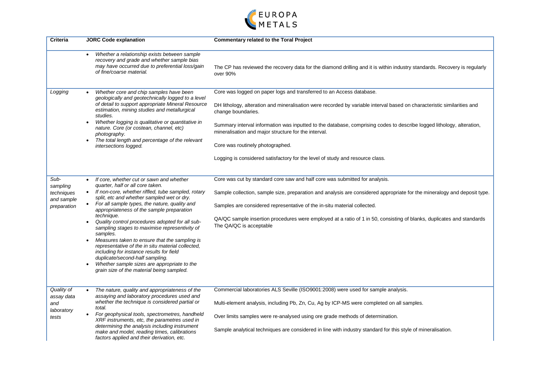

| Criteria                                                    | <b>JORC Code explanation</b>                                                                                                                                                                                                                                                                                                                                                                                                                                                                                                                                                                                                                                                                                            | <b>Commentary related to the Toral Project</b>                                                                                                                                                                                                                                                                                                                                                                                                                                                                              |
|-------------------------------------------------------------|-------------------------------------------------------------------------------------------------------------------------------------------------------------------------------------------------------------------------------------------------------------------------------------------------------------------------------------------------------------------------------------------------------------------------------------------------------------------------------------------------------------------------------------------------------------------------------------------------------------------------------------------------------------------------------------------------------------------------|-----------------------------------------------------------------------------------------------------------------------------------------------------------------------------------------------------------------------------------------------------------------------------------------------------------------------------------------------------------------------------------------------------------------------------------------------------------------------------------------------------------------------------|
|                                                             | Whether a relationship exists between sample<br>$\bullet$<br>recovery and grade and whether sample bias<br>may have occurred due to preferential loss/gain<br>of fine/coarse material.                                                                                                                                                                                                                                                                                                                                                                                                                                                                                                                                  | The CP has reviewed the recovery data for the diamond drilling and it is within industry standards. Recovery is regularly<br>over 90%                                                                                                                                                                                                                                                                                                                                                                                       |
| Logging                                                     | Whether core and chip samples have been<br>geologically and geotechnically logged to a level<br>of detail to support appropriate Mineral Resource<br>estimation, mining studies and metallurgical<br>studies.<br>Whether logging is qualitative or quantitative in<br>nature. Core (or costean, channel, etc)<br>photography.<br>The total length and percentage of the relevant<br>intersections logged.                                                                                                                                                                                                                                                                                                               | Core was logged on paper logs and transferred to an Access database.<br>DH lithology, alteration and mineralisation were recorded by variable interval based on characteristic similarities and<br>change boundaries.<br>Summary interval information was inputted to the database, comprising codes to describe logged lithology, alteration,<br>mineralisation and major structure for the interval.<br>Core was routinely photographed.<br>Logging is considered satisfactory for the level of study and resource class. |
| Sub-<br>sampling<br>techniques<br>and sample<br>preparation | If core, whether cut or sawn and whether<br>quarter, half or all core taken.<br>If non-core, whether riffled, tube sampled, rotary<br>split, etc and whether sampled wet or dry.<br>For all sample types, the nature, quality and<br>appropriateness of the sample preparation<br>technique.<br>Quality control procedures adopted for all sub-<br>$\bullet$<br>sampling stages to maximise representivity of<br>samples.<br>Measures taken to ensure that the sampling is<br>representative of the in situ material collected,<br>including for instance results for field<br>duplicate/second-half sampling.<br>Whether sample sizes are appropriate to the<br>$\bullet$<br>grain size of the material being sampled. | Core was cut by standard core saw and half core was submitted for analysis.<br>Sample collection, sample size, preparation and analysis are considered appropriate for the mineralogy and deposit type.<br>Samples are considered representative of the in-situ material collected.<br>QA/QC sample insertion procedures were employed at a ratio of 1 in 50, consisting of blanks, duplicates and standards<br>The QA/QC is acceptable                                                                                     |
| Quality of<br>assay data<br>and<br>laboratory<br>tests      | The nature, quality and appropriateness of the<br>assaying and laboratory procedures used and<br>whether the technique is considered partial or<br>total.<br>For geophysical tools, spectrometres, handheld<br>XRF instruments, etc, the parametres used in<br>determining the analysis including instrument<br>make and model, reading times, calibrations<br>factors applied and their derivation, etc.                                                                                                                                                                                                                                                                                                               | Commercial laboratories ALS Seville (ISO9001:2008) were used for sample analysis.<br>Multi-element analysis, including Pb, Zn, Cu, Ag by ICP-MS were completed on all samples.<br>Over limits samples were re-analysed using ore grade methods of determination.<br>Sample analytical techniques are considered in line with industry standard for this style of mineralisation.                                                                                                                                            |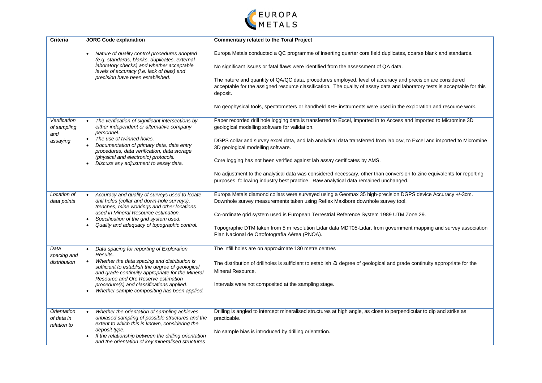

| <b>Criteria</b>                          | <b>JORC Code explanation</b>                                                                                                                                                                                                                                                                         | <b>Commentary related to the Toral Project</b>                                                                                                                                                                                                                                                                                                                                                                                                              |  |  |  |
|------------------------------------------|------------------------------------------------------------------------------------------------------------------------------------------------------------------------------------------------------------------------------------------------------------------------------------------------------|-------------------------------------------------------------------------------------------------------------------------------------------------------------------------------------------------------------------------------------------------------------------------------------------------------------------------------------------------------------------------------------------------------------------------------------------------------------|--|--|--|
|                                          | Nature of quality control procedures adopted<br>(e.g. standards, blanks, duplicates, external                                                                                                                                                                                                        | Europa Metals conducted a QC programme of inserting quarter core field duplicates, coarse blank and standards.                                                                                                                                                                                                                                                                                                                                              |  |  |  |
|                                          | laboratory checks) and whether acceptable<br>levels of accuracy (i.e. lack of bias) and                                                                                                                                                                                                              | No significant issues or fatal flaws were identified from the assessment of QA data.                                                                                                                                                                                                                                                                                                                                                                        |  |  |  |
|                                          | precision have been established.                                                                                                                                                                                                                                                                     | The nature and quantity of QA/QC data, procedures employed, level of accuracy and precision are considered<br>acceptable for the assigned resource classification. The quality of assay data and laboratory tests is acceptable for this<br>deposit.                                                                                                                                                                                                        |  |  |  |
|                                          |                                                                                                                                                                                                                                                                                                      | No geophysical tools, spectrometers or handheld XRF instruments were used in the exploration and resource work.                                                                                                                                                                                                                                                                                                                                             |  |  |  |
| Verification<br>of sampling<br>and       | The verification of significant intersections by<br>either independent or alternative company<br>personnel.                                                                                                                                                                                          | Paper recorded drill hole logging data is transferred to Excel, imported in to Access and imported to Micromine 3D<br>geological modelling software for validation.                                                                                                                                                                                                                                                                                         |  |  |  |
| assaying                                 | The use of twinned holes.<br>$\bullet$<br>Documentation of primary data, data entry<br>procedures, data verification, data storage                                                                                                                                                                   | DGPS collar and survey excel data, and lab analytical data transferred from lab.csv, to Excel and imported to Micromine<br>3D geological modelling software.                                                                                                                                                                                                                                                                                                |  |  |  |
|                                          | (physical and electronic) protocols.<br>Discuss any adjustment to assay data.                                                                                                                                                                                                                        | Core logging has not been verified against lab assay certificates by AMS.                                                                                                                                                                                                                                                                                                                                                                                   |  |  |  |
|                                          |                                                                                                                                                                                                                                                                                                      | No adjustment to the analytical data was considered necessary, other than conversion to zinc equivalents for reporting<br>purposes, following industry best practice. Raw analytical data remained unchanged.                                                                                                                                                                                                                                               |  |  |  |
| Location of<br>data points               | Accuracy and quality of surveys used to locate<br>drill holes (collar and down-hole surveys),<br>trenches, mine workings and other locations<br>used in Mineral Resource estimation.<br>Specification of the grid system used.<br>Quality and adequacy of topographic control.                       | Europa Metals diamond collars were surveyed using a Geomax 35 high-precision DGPS device Accuracy +/-3cm.<br>Downhole survey measurements taken using Reflex Maxibore downhole survey tool.<br>Co-ordinate grid system used is European Terrestrial Reference System 1989 UTM Zone 29.<br>Topographic DTM taken from 5 m resolution Lidar data MDT05-Lidar, from government mapping and survey association<br>Plan Nacional de Ortofotografía Aérea (PNOA). |  |  |  |
| Data                                     | Data spacing for reporting of Exploration<br>$\bullet$                                                                                                                                                                                                                                               | The infill holes are on approximate 130 metre centres                                                                                                                                                                                                                                                                                                                                                                                                       |  |  |  |
| spacing and<br>distribution              | Results.<br>Whether the data spacing and distribution is<br>sufficient to establish the degree of geological<br>and grade continuity appropriate for the Mineral<br>Resource and Ore Reserve estimation<br>procedure(s) and classifications applied.<br>Whether sample compositing has been applied. | The distribution of drillholes is sufficient to establish a degree of geological and grade continuity appropriate for the<br>Mineral Resource.<br>Intervals were not composited at the sampling stage.                                                                                                                                                                                                                                                      |  |  |  |
| Orientation<br>of data in<br>relation to | Whether the orientation of sampling achieves<br>unbiased sampling of possible structures and the<br>extent to which this is known, considering the<br>deposit type.<br>If the relationship between the drilling orientation<br>and the orientation of key mineralised structures                     | Drilling is angled to intercept mineralised structures at high angle, as close to perpendicular to dip and strike as<br>practicable.<br>No sample bias is introduced by drilling orientation.                                                                                                                                                                                                                                                               |  |  |  |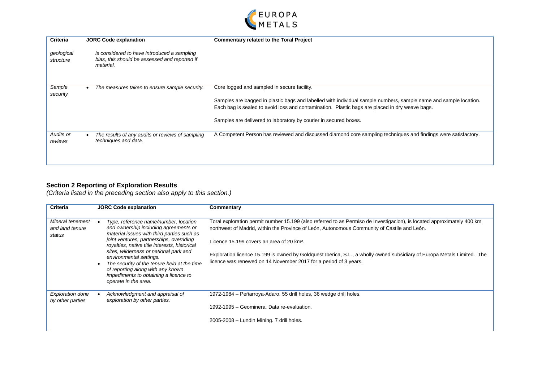

| <b>Criteria</b>         | <b>JORC Code explanation</b>                                                                              | <b>Commentary related to the Toral Project</b>                                                                                                                                                                                                                                                                                        |
|-------------------------|-----------------------------------------------------------------------------------------------------------|---------------------------------------------------------------------------------------------------------------------------------------------------------------------------------------------------------------------------------------------------------------------------------------------------------------------------------------|
| geological<br>structure | is considered to have introduced a sampling<br>bias, this should be assessed and reported if<br>material. |                                                                                                                                                                                                                                                                                                                                       |
| Sample<br>security      | The measures taken to ensure sample security.                                                             | Core logged and sampled in secure facility.<br>Samples are bagged in plastic bags and labelled with individual sample numbers, sample name and sample location.<br>Each bag is sealed to avoid loss and contamination. Plastic bags are placed in dry weave bags.<br>Samples are delivered to laboratory by courier in secured boxes. |
| Audits or<br>reviews    | The results of any audits or reviews of sampling<br>techniques and data.                                  | A Competent Person has reviewed and discussed diamond core sampling techniques and findings were satisfactory.                                                                                                                                                                                                                        |

#### **Section 2 Reporting of Exploration Results**

*(Criteria listed in the preceding section also apply to this section.)*

| <b>Criteria</b>                               | <b>JORC Code explanation</b>                                                                                                                                                                                                                                                                                                                                                                                                                        | Commentary                                                                                                                                                                                                                                                                                                                                                                                                                                                                    |
|-----------------------------------------------|-----------------------------------------------------------------------------------------------------------------------------------------------------------------------------------------------------------------------------------------------------------------------------------------------------------------------------------------------------------------------------------------------------------------------------------------------------|-------------------------------------------------------------------------------------------------------------------------------------------------------------------------------------------------------------------------------------------------------------------------------------------------------------------------------------------------------------------------------------------------------------------------------------------------------------------------------|
| Mineral tenement<br>and land tenure<br>status | Type, reference name/number, location<br>and ownership including agreements or<br>material issues with third parties such as<br>joint ventures, partnerships, overriding<br>royalties, native title interests, historical<br>sites, wilderness or national park and<br>environmental settings.<br>The security of the tenure held at the time<br>of reporting along with any known<br>impediments to obtaining a licence to<br>operate in the area. | Toral exploration permit number 15.199 (also referred to as Permiso de Investigacion), is located approximately 400 km<br>northwest of Madrid, within the Province of León, Autonomous Community of Castile and León.<br>Licence 15.199 covers an area of 20 km <sup>2</sup> .<br>Exploration licence 15.199 is owned by Goldquest Iberica, S.L., a wholly owned subsidiary of Europa Metals Limited. The<br>licence was renewed on 14 November 2017 for a period of 3 years. |
| <b>Exploration done</b><br>by other parties   | Acknowledgment and appraisal of<br>exploration by other parties.                                                                                                                                                                                                                                                                                                                                                                                    | 1972-1984 – Peñarroya-Adaro. 55 drill holes, 36 wedge drill holes.<br>1992-1995 – Geominera, Data re-evaluation.<br>2005-2008 - Lundin Mining. 7 drill holes.                                                                                                                                                                                                                                                                                                                 |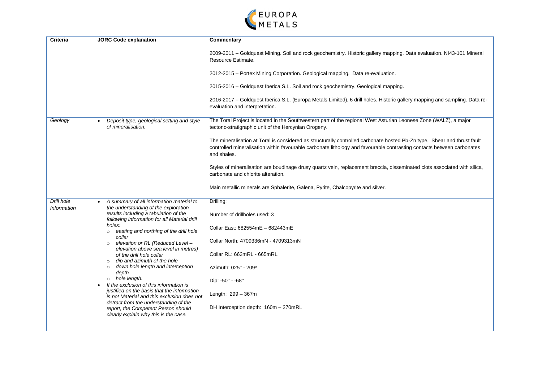

| <b>Criteria</b>                  | <b>JORC Code explanation</b>                                                                                          | Commentary                                                                                                                                                                                                                                                        |
|----------------------------------|-----------------------------------------------------------------------------------------------------------------------|-------------------------------------------------------------------------------------------------------------------------------------------------------------------------------------------------------------------------------------------------------------------|
|                                  |                                                                                                                       | 2009-2011 – Goldquest Mining. Soil and rock geochemistry. Historic gallery mapping. Data evaluation. NI43-101 Mineral<br>Resource Estimate.                                                                                                                       |
|                                  |                                                                                                                       | 2012-2015 – Portex Mining Corporation. Geological mapping. Data re-evaluation.                                                                                                                                                                                    |
|                                  |                                                                                                                       | 2015-2016 - Goldquest Iberica S.L. Soil and rock geochemistry. Geological mapping.                                                                                                                                                                                |
|                                  |                                                                                                                       | 2016-2017 - Goldquest Iberica S.L. (Europa Metals Limited). 6 drill holes. Historic gallery mapping and sampling. Data re-<br>evaluation and interpretation.                                                                                                      |
| Geology                          | Deposit type, geological setting and style<br>of mineralisation.                                                      | The Toral Project is located in the Southwestern part of the regional West Asturian Leonese Zone (WALZ), a major<br>tectono-stratigraphic unit of the Hercynian Orogeny.                                                                                          |
|                                  |                                                                                                                       | The mineralisation at Toral is considered as structurally controlled carbonate hosted Pb-Zn type. Shear and thrust fault<br>controlled mineralisation within favourable carbonate lithology and favourable contrasting contacts between carbonates<br>and shales. |
|                                  |                                                                                                                       | Styles of mineralisation are boudinage drusy quartz vein, replacement breccia, disseminated clots associated with silica,<br>carbonate and chlorite alteration.                                                                                                   |
|                                  |                                                                                                                       | Main metallic minerals are Sphalerite, Galena, Pyrite, Chalcopyrite and silver.                                                                                                                                                                                   |
| Drill hole<br><b>Information</b> | A summary of all information material to<br>the understanding of the exploration                                      | Drilling:                                                                                                                                                                                                                                                         |
|                                  | results including a tabulation of the<br>following information for all Material drill                                 | Number of drillholes used: 3                                                                                                                                                                                                                                      |
|                                  | holes:<br>easting and northing of the drill hole                                                                      | Collar East: 682554mE - 682443mE                                                                                                                                                                                                                                  |
|                                  | collar<br>elevation or RL (Reduced Level -<br>$\circ$                                                                 | Collar North: 4709336mN - 4709313mN                                                                                                                                                                                                                               |
|                                  | elevation above sea level in metres)<br>of the drill hole collar<br>dip and azimuth of the hole                       | Collar RL: 663mRL - 665mRL                                                                                                                                                                                                                                        |
|                                  | $\circ$<br>down hole length and interception<br>$\circ$<br>depth                                                      | Azimuth: 025° - 209°                                                                                                                                                                                                                                              |
|                                  | o hole length.<br>If the exclusion of this information is                                                             | Dip: -50° - -68°                                                                                                                                                                                                                                                  |
|                                  | justified on the basis that the information<br>is not Material and this exclusion does not                            | Length: 299 - 367m                                                                                                                                                                                                                                                |
|                                  | detract from the understanding of the<br>report, the Competent Person should<br>clearly explain why this is the case. | DH Interception depth: 160m - 270mRL                                                                                                                                                                                                                              |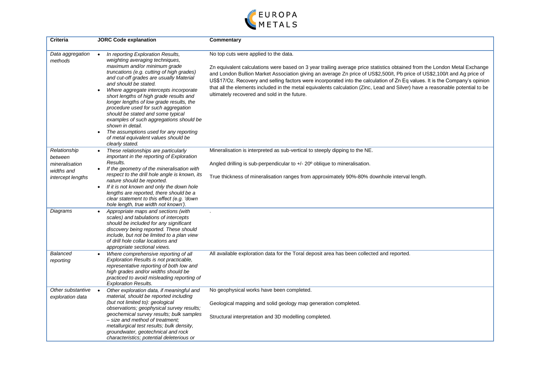

| Criteria                                                                     | <b>JORC Code explanation</b>                                                                                                                                                                                                                                                                                                                                                                                                                                                                                                                                                                           | Commentary                                                                                                                                                                                                                                                                                                                                                                                                                                                                                                                                                                                                     |
|------------------------------------------------------------------------------|--------------------------------------------------------------------------------------------------------------------------------------------------------------------------------------------------------------------------------------------------------------------------------------------------------------------------------------------------------------------------------------------------------------------------------------------------------------------------------------------------------------------------------------------------------------------------------------------------------|----------------------------------------------------------------------------------------------------------------------------------------------------------------------------------------------------------------------------------------------------------------------------------------------------------------------------------------------------------------------------------------------------------------------------------------------------------------------------------------------------------------------------------------------------------------------------------------------------------------|
| Data aggregation<br>methods                                                  | In reporting Exploration Results,<br>weighting averaging techniques,<br>maximum and/or minimum grade<br>truncations (e.g. cutting of high grades)<br>and cut-off grades are usually Material<br>and should be stated.<br>Where aggregate intercepts incorporate<br>short lengths of high grade results and<br>longer lengths of low grade results, the<br>procedure used for such aggregation<br>should be stated and some typical<br>examples of such aggregations should be<br>shown in detail.<br>The assumptions used for any reporting<br>of metal equivalent values should be<br>clearly stated. | No top cuts were applied to the data.<br>Zn equivalent calculations were based on 3 year trailing average price statistics obtained from the London Metal Exchange<br>and London Bullion Market Association giving an average Zn price of US\$2,500/t, Pb price of US\$2,100/t and Ag price of<br>US\$17/Oz. Recovery and selling factors were incorporated into the calculation of Zn Eq values. It is the Company's opinion<br>that all the elements included in the metal equivalents calculation (Zinc, Lead and Silver) have a reasonable potential to be<br>ultimately recovered and sold in the future. |
| Relationship<br>between<br>mineralisation<br>widths and<br>intercept lengths | These relationships are particularly<br>important in the reporting of Exploration<br>Results.<br>If the geometry of the mineralisation with<br>respect to the drill hole angle is known, its<br>nature should be reported.<br>If it is not known and only the down hole<br>$\bullet$<br>lengths are reported, there should be a<br>clear statement to this effect (e.g. 'down<br>hole length, true width not known').                                                                                                                                                                                  | Mineralisation is interpreted as sub-vertical to steeply dipping to the NE.<br>Angled drilling is sub-perpendicular to $+/-20^{\circ}$ oblique to mineralisation.<br>True thickness of mineralisation ranges from approximately 90%-80% downhole interval length.                                                                                                                                                                                                                                                                                                                                              |
| Diagrams                                                                     | Appropriate maps and sections (with<br>scales) and tabulations of intercepts<br>should be included for any significant<br>discovery being reported. These should<br>include, but not be limited to a plan view<br>of drill hole collar locations and<br>appropriate sectional views.                                                                                                                                                                                                                                                                                                                   |                                                                                                                                                                                                                                                                                                                                                                                                                                                                                                                                                                                                                |
| Balanced<br>reporting                                                        | Where comprehensive reporting of all<br>Exploration Results is not practicable,<br>representative reporting of both low and<br>high grades and/or widths should be<br>practiced to avoid misleading reporting of<br><b>Exploration Results.</b>                                                                                                                                                                                                                                                                                                                                                        | All available exploration data for the Toral deposit area has been collected and reported.                                                                                                                                                                                                                                                                                                                                                                                                                                                                                                                     |
| Other substantive<br>exploration data                                        | Other exploration data, if meaningful and<br>material, should be reported including<br>(but not limited to): geological<br>observations; geophysical survey results;<br>geochemical survey results; bulk samples<br>- size and method of treatment;<br>metallurgical test results; bulk density,<br>groundwater, geotechnical and rock<br>characteristics; potential deleterious or                                                                                                                                                                                                                    | No geophysical works have been completed.<br>Geological mapping and solid geology map generation completed.<br>Structural interpretation and 3D modelling completed.                                                                                                                                                                                                                                                                                                                                                                                                                                           |